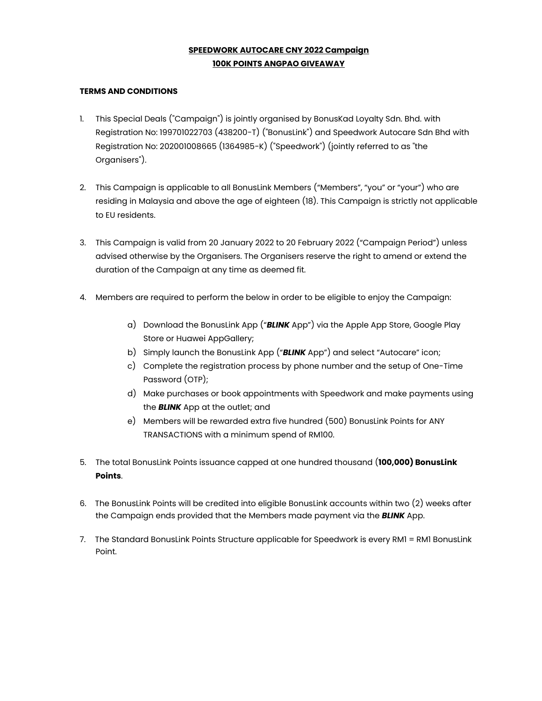## **SPEEDWORK AUTOCARE CNY 2022 Campaign 100K POINTS ANGPAO GIVEAWAY**

## **TERMS AND CONDITIONS**

- 1. This Special Deals ("Campaign") is jointly organised by BonusKad Loyalty Sdn. Bhd. with Registration No: 199701022703 (438200-T) ("BonusLink") and Speedwork Autocare Sdn Bhd with Registration No: 202001008665 (1364985-K) ("Speedwork") (jointly referred to as "the Organisers").
- 2. This Campaign is applicable to all BonusLink Members ("Members", "you" or "your") who are residing in Malaysia and above the age of eighteen (18). This Campaign is strictly not applicable to EU residents.
- 3. This Campaign is valid from 20 January 2022 to 20 February 2022 ("Campaign Period") unless advised otherwise by the Organisers. The Organisers reserve the right to amend or extend the duration of the Campaign at any time as deemed fit.
- 4. Members are required to perform the below in order to be eligible to enjoy the Campaign:
	- a) Download the BonusLink App ("*BLINK* App") via the Apple App Store, Google Play Store or Huawei AppGallery;
	- b) Simply launch the BonusLink App ("*BLINK* App") and select "Autocare" icon;
	- c) Complete the registration process by phone number and the setup of One-Time Password (OTP);
	- d) Make purchases or book appointments with Speedwork and make payments using the *BLINK* App at the outlet; and
	- e) Members will be rewarded extra five hundred (500) BonusLink Points for ANY TRANSACTIONS with a minimum spend of RM100.
- 5. The total BonusLink Points issuance capped at one hundred thousand (**100,000) BonusLink Points**.
- 6. The BonusLink Points will be credited into eligible BonusLink accounts within two (2) weeks after the Campaign ends provided that the Members made payment via the *BLINK* App.
- 7. The Standard BonusLink Points Structure applicable for Speedwork is every RM1 = RM1 BonusLink Point.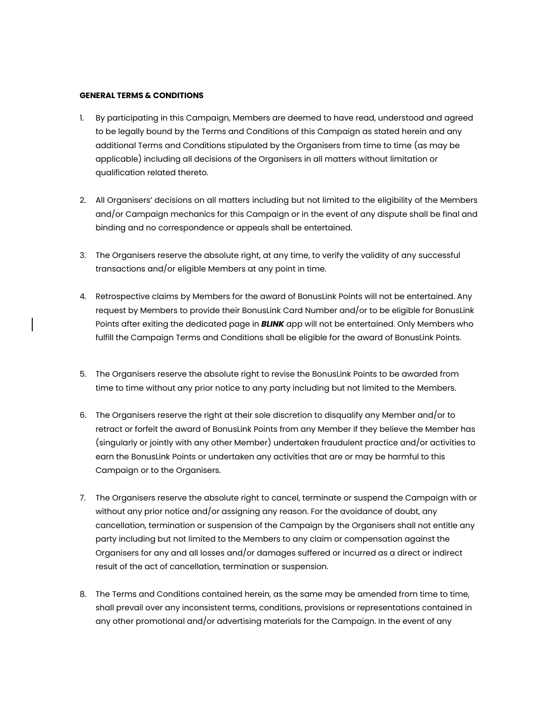## **GENERAL TERMS & CONDITIONS**

- 1. By participating in this Campaign, Members are deemed to have read, understood and agreed to be legally bound by the Terms and Conditions of this Campaign as stated herein and any additional Terms and Conditions stipulated by the Organisers from time to time (as may be applicable) including all decisions of the Organisers in all matters without limitation or qualification related thereto.
- 2. All Organisers' decisions on all matters including but not limited to the eligibility of the Members and/or Campaign mechanics for this Campaign or in the event of any dispute shall be final and binding and no correspondence or appeals shall be entertained.
- 3. The Organisers reserve the absolute right, at any time, to verify the validity of any successful transactions and/or eligible Members at any point in time.
- 4. Retrospective claims by Members for the award of BonusLink Points will not be entertained. Any request by Members to provide their BonusLink Card Number and/or to be eligible for BonusLink Points after exiting the dedicated page in *BLINK* app will not be entertained. Only Members who fulfill the Campaign Terms and Conditions shall be eligible for the award of BonusLink Points.
- 5. The Organisers reserve the absolute right to revise the BonusLink Points to be awarded from time to time without any prior notice to any party including but not limited to the Members.
- 6. The Organisers reserve the right at their sole discretion to disqualify any Member and/or to retract or forfeit the award of BonusLink Points from any Member if they believe the Member has (singularly or jointly with any other Member) undertaken fraudulent practice and/or activities to earn the BonusLink Points or undertaken any activities that are or may be harmful to this Campaign or to the Organisers.
- 7. The Organisers reserve the absolute right to cancel, terminate or suspend the Campaign with or without any prior notice and/or assigning any reason. For the avoidance of doubt, any cancellation, termination or suspension of the Campaign by the Organisers shall not entitle any party including but not limited to the Members to any claim or compensation against the Organisers for any and all losses and/or damages suffered or incurred as a direct or indirect result of the act of cancellation, termination or suspension.
- 8. The Terms and Conditions contained herein, as the same may be amended from time to time, shall prevail over any inconsistent terms, conditions, provisions or representations contained in any other promotional and/or advertising materials for the Campaign. In the event of any